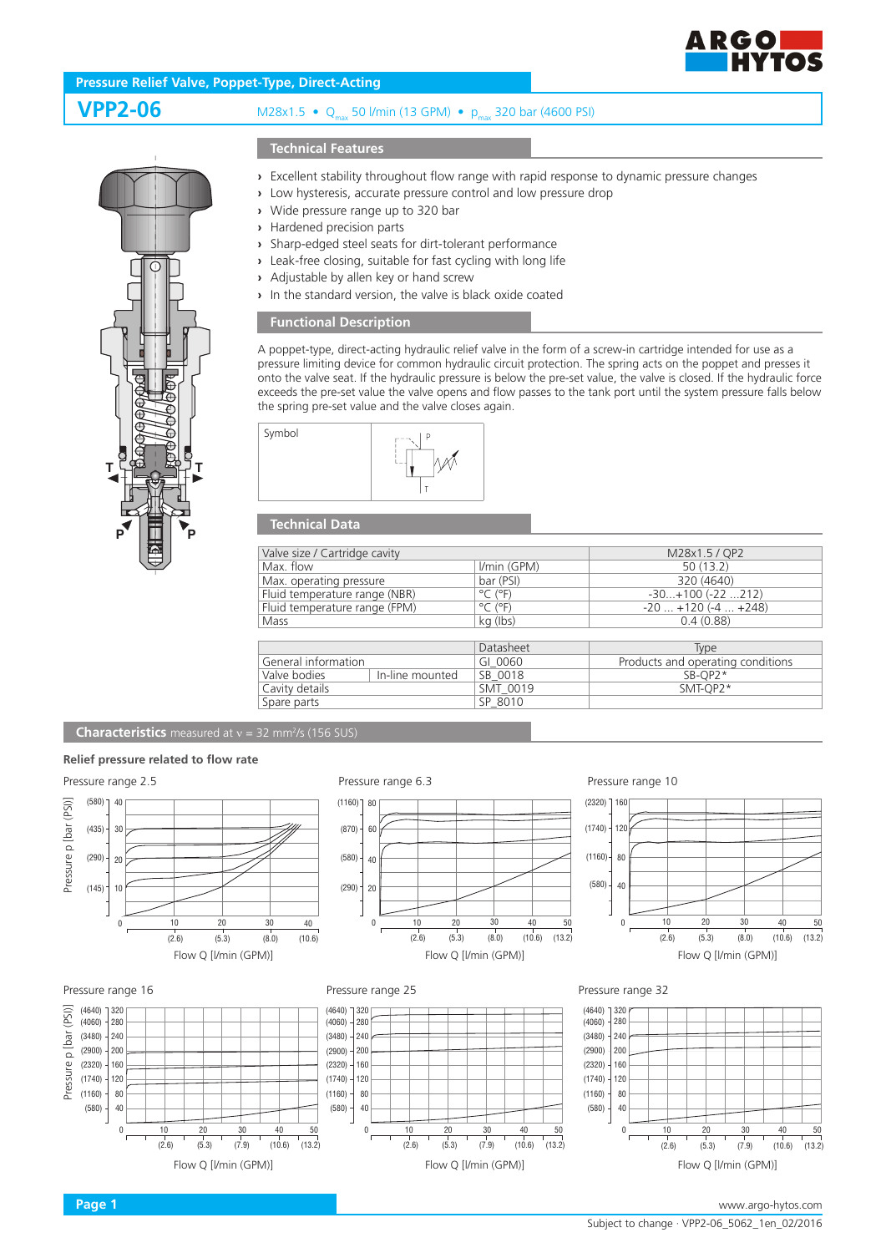

## **Pressure Relief Valve, Poppet-Type, Direct-Acting**

# **VPP2-06** M28x1.5 • Q<sub>my</sub> 50 l/min (13 GPM) • p<sub>my</sub> 320 bar (4600 PSI)

## **Technical Features**

- **›** Excellent stability throughout flow range with rapid response to dynamic pressure changes
- **›** Low hysteresis, accurate pressure control and low pressure drop
- **›** Wide pressure range up to 320 bar
- **›** Hardened precision parts
- **›** Sharp-edged steel seats for dirt-tolerant performance
- **›** Leak-free closing, suitable for fast cycling with long life
- **›** Adjustable by allen key or hand screw
- **›** In the standard version, the valve is black oxide coated

### **Functional Description**

A poppet-type, direct-acting hydraulic relief valve in the form of a screw-in cartridge intended for use as a pressure limiting device for common hydraulic circuit protection. The spring acts on the poppet and presses it onto the valve seat. If the hydraulic pressure is below the pre-set value, the valve is closed. If the hydraulic force exceeds the pre-set value the valve opens and flow passes to the tank port until the system pressure falls below the spring pre-set value and the valve closes again.



#### **Technical Data**

| Valve size / Cartridge cavity |                              |  |  |
|-------------------------------|------------------------------|--|--|
| I/min (GPM)                   | 50(13.2)                     |  |  |
| bar (PSI)                     | 320 (4640)                   |  |  |
| $^{\circ}$ C ( $^{\circ}$ F)  | $-30+100$ $(-22212)$         |  |  |
| $^{\circ}$ C ( $^{\circ}$ F)  | $-20$ $+120$ ( $-4$ $+248$ ) |  |  |
| kg (lbs)                      | 0.4(0.88)                    |  |  |
|                               |                              |  |  |

|                     |                 | Datasheet | Type                              |
|---------------------|-----------------|-----------|-----------------------------------|
| General information |                 | GI 0060   | Products and operating conditions |
| Valve bodies        | In-line mounted | SB 0018   | $SB-OP2*$                         |
| Cavity details      |                 | SMT 0019  | SMT-OP2*                          |
| Spare parts         |                 | SP 8010   |                                   |

**Characteristics** measured at v = 32 mm<sup>2</sup>/s (156 SUS)

#### **Relief pressure related to flow rate**